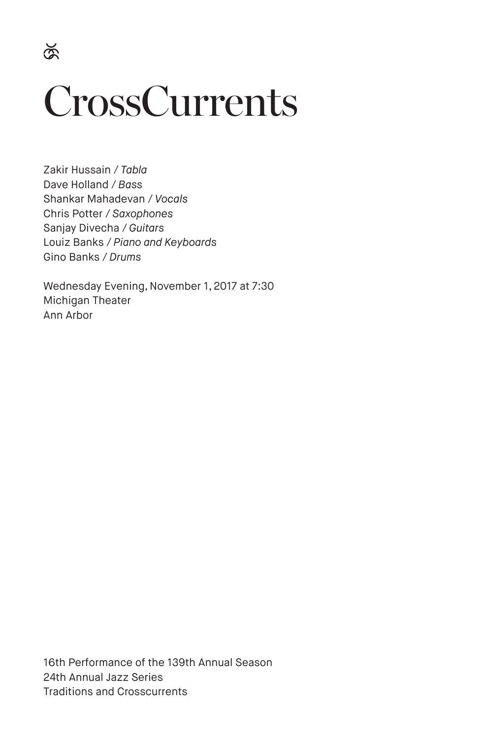$\breve{\otimes}$ 

# **CrossCurrents**

Zakir Hussain / *Tabla* Dave Holland / *Bass* Shankar Mahadevan / *Vocals* Chris Potter / *Saxophones* Sanjay Divecha / *Guitars* Louiz Banks / *Piano and Keyboards* Gino Banks / *Drums*

Wednesday Evening, November 1, 2017 at 7:30 Michigan Theater Ann Arbor

16th Performance of the 139th Annual Season 24th Annual Jazz Series Traditions and Crosscurrents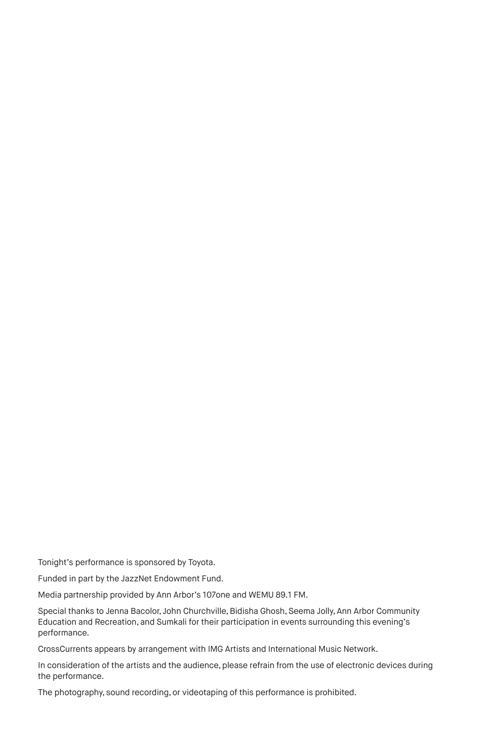Tonight's performance is sponsored by Toyota.

Funded in part by the JazzNet Endowment Fund.

Media partnership provided by Ann Arbor's 107one and WEMU 89.1 FM.

Special thanks to Jenna Bacolor, John Churchville, Bidisha Ghosh, Seema Jolly, Ann Arbor Community Education and Recreation, and Sumkali for their participation in events surrounding this evening's performance.

CrossCurrents appears by arrangement with IMG Artists and International Music Network.

In consideration of the artists and the audience, please refrain from the use of electronic devices during the performance.

The photography, sound recording, or videotaping of this performance is prohibited.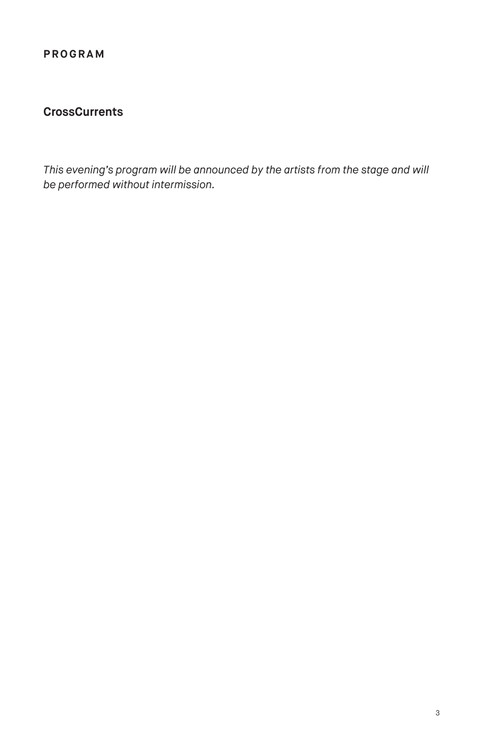# **CrossCurrents**

*This evening's program will be announced by the artists from the stage and will be performed without intermission.*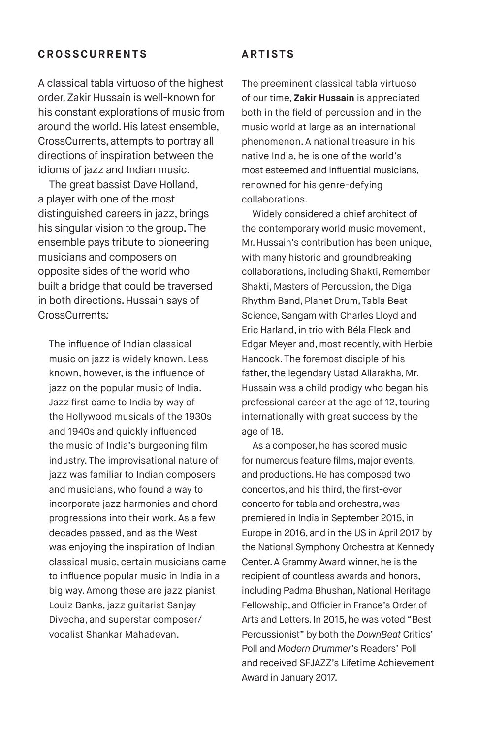#### **CROSSCURRENTS**

A classical tabla virtuoso of the highest order, Zakir Hussain is well-known for his constant explorations of music from around the world. His latest ensemble, CrossCurrents, attempts to portray all directions of inspiration between the idioms of jazz and Indian music.

The great bassist Dave Holland, a player with one of the most distinguished careers in jazz, brings his singular vision to the group. The ensemble pays tribute to pioneering musicians and composers on opposite sides of the world who built a bridge that could be traversed in both directions. Hussain says of CrossCurrents*:*

The influence of Indian classical music on jazz is widely known. Less known, however, is the influence of jazz on the popular music of India. Jazz first came to India by way of the Hollywood musicals of the 1930s and 1940s and quickly influenced the music of India's burgeoning film industry. The improvisational nature of jazz was familiar to Indian composers and musicians, who found a way to incorporate jazz harmonies and chord progressions into their work. As a few decades passed, and as the West was enjoying the inspiration of Indian classical music, certain musicians came to influence popular music in India in a big way. Among these are jazz pianist Louiz Banks, jazz guitarist Sanjay Divecha, and superstar composer/ vocalist Shankar Mahadevan.

#### **ARTISTS**

The preeminent classical tabla virtuoso of our time, **Zakir Hussain** is appreciated both in the field of percussion and in the music world at large as an international phenomenon. A national treasure in his native India, he is one of the world's most esteemed and influential musicians, renowned for his genre-defying collaborations.

Widely considered a chief architect of the contemporary world music movement, Mr. Hussain's contribution has been unique, with many historic and groundbreaking collaborations, including Shakti, Remember Shakti, Masters of Percussion, the Diga Rhythm Band, Planet Drum, Tabla Beat Science, Sangam with Charles Lloyd and Eric Harland, in trio with Béla Fleck and Edgar Meyer and, most recently, with Herbie Hancock. The foremost disciple of his father, the legendary Ustad Allarakha, Mr. Hussain was a child prodigy who began his professional career at the age of 12, touring internationally with great success by the age of 18.

As a composer, he has scored music for numerous feature films, major events, and productions. He has composed two concertos, and his third, the first-ever concerto for tabla and orchestra, was premiered in India in September 2015, in Europe in 2016, and in the US in April 2017 by the National Symphony Orchestra at Kennedy Center. A Grammy Award winner, he is the recipient of countless awards and honors, including Padma Bhushan, National Heritage Fellowship, and Officier in France's Order of Arts and Letters. In 2015, he was voted "Best Percussionist" by both the *DownBeat* Critics' Poll and *Modern Drummer*'s Readers' Poll and received SFJAZZ's Lifetime Achievement Award in January 2017.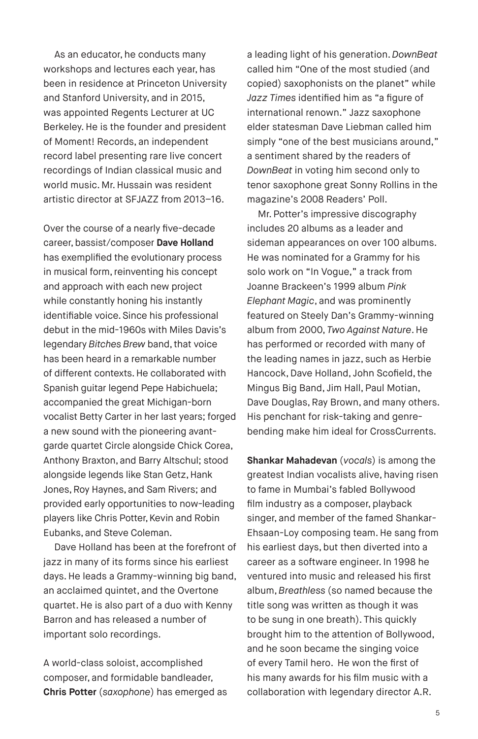As an educator, he conducts many workshops and lectures each year, has been in residence at Princeton University and Stanford University, and in 2015, was appointed Regents Lecturer at UC Berkeley. He is the founder and president of Moment! Records, an independent record label presenting rare live concert recordings of Indian classical music and world music. Mr. Hussain was resident artistic director at SFJAZZ from 2013–16.

Over the course of a nearly five-decade career, bassist/composer **Dave Holland** has exemplified the evolutionary process in musical form, reinventing his concept and approach with each new project while constantly honing his instantly identifiable voice. Since his professional debut in the mid-1960s with Miles Davis's legendary *Bitches Brew* band, that voice has been heard in a remarkable number of different contexts. He collaborated with Spanish guitar legend Pepe Habichuela; accompanied the great Michigan-born vocalist Betty Carter in her last years; forged a new sound with the pioneering avantgarde quartet Circle alongside Chick Corea, Anthony Braxton, and Barry Altschul; stood alongside legends like Stan Getz, Hank Jones, Roy Haynes, and Sam Rivers; and provided early opportunities to now-leading players like Chris Potter, Kevin and Robin Eubanks, and Steve Coleman.

Dave Holland has been at the forefront of jazz in many of its forms since his earliest days. He leads a Grammy-winning big band, an acclaimed quintet, and the Overtone quartet. He is also part of a duo with Kenny Barron and has released a number of important solo recordings.

A world-class soloist, accomplished composer, and formidable bandleader, **Chris Potter** (*saxophone*) has emerged as a leading light of his generation. *DownBeat* called him "One of the most studied (and copied) saxophonists on the planet" while *Jazz Times* identified him as "a figure of international renown." Jazz saxophone elder statesman Dave Liebman called him simply "one of the best musicians around," a sentiment shared by the readers of *DownBeat* in voting him second only to tenor saxophone great Sonny Rollins in the magazine's 2008 Readers' Poll.

Mr. Potter's impressive discography includes 20 albums as a leader and sideman appearances on over 100 albums. He was nominated for a Grammy for his solo work on "In Vogue," a track from Joanne Brackeen's 1999 album *Pink Elephant Magic*, and was prominently featured on Steely Dan's Grammy-winning album from 2000, *Two Against Nature*. He has performed or recorded with many of the leading names in jazz, such as Herbie Hancock, Dave Holland, John Scofield, the Mingus Big Band, Jim Hall, Paul Motian, Dave Douglas, Ray Brown, and many others. His penchant for risk-taking and genrebending make him ideal for CrossCurrents.

**Shankar Mahadevan** (*vocals*) is among the greatest Indian vocalists alive, having risen to fame in Mumbai's fabled Bollywood film industry as a composer, playback singer, and member of the famed Shankar-Ehsaan-Loy composing team. He sang from his earliest days, but then diverted into a career as a software engineer. In 1998 he ventured into music and released his first album, *Breathless* (so named because the title song was written as though it was to be sung in one breath). This quickly brought him to the attention of Bollywood, and he soon became the singing voice of every Tamil hero. He won the first of his many awards for his film music with a collaboration with legendary director A.R.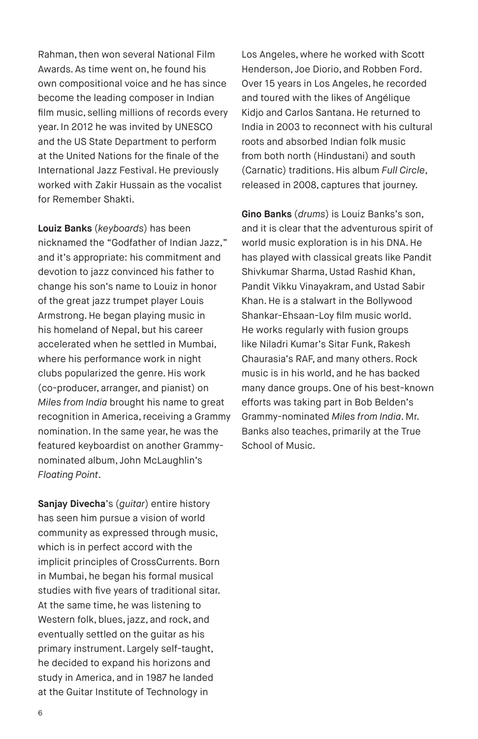Rahman, then won several National Film Awards. As time went on, he found his own compositional voice and he has since become the leading composer in Indian film music, selling millions of records every year. In 2012 he was invited by UNESCO and the US State Department to perform at the United Nations for the finale of the International Jazz Festival. He previously worked with Zakir Hussain as the vocalist for Remember Shakti.

**Louiz Banks** (*keyboards*) has been nicknamed the "Godfather of Indian Jazz," and it's appropriate: his commitment and devotion to jazz convinced his father to change his son's name to Louiz in honor of the great jazz trumpet player Louis Armstrong. He began playing music in his homeland of Nepal, but his career accelerated when he settled in Mumbai, where his performance work in night clubs popularized the genre. His work (co-producer, arranger, and pianist) on *Miles from India* brought his name to great recognition in America, receiving a Grammy nomination. In the same year, he was the featured keyboardist on another Grammynominated album, John McLaughlin's *Floating Point*.

**Sanjay Divecha**'s (*guitar*) entire history has seen him pursue a vision of world community as expressed through music, which is in perfect accord with the implicit principles of CrossCurrents. Born in Mumbai, he began his formal musical studies with five years of traditional sitar. At the same time, he was listening to Western folk, blues, jazz, and rock, and eventually settled on the guitar as his primary instrument. Largely self-taught, he decided to expand his horizons and study in America, and in 1987 he landed at the Guitar Institute of Technology in

Los Angeles, where he worked with Scott Henderson, Joe Diorio, and Robben Ford. Over 15 years in Los Angeles, he recorded and toured with the likes of Angélique Kidjo and Carlos Santana. He returned to India in 2003 to reconnect with his cultural roots and absorbed Indian folk music from both north (Hindustani) and south (Carnatic) traditions. His album *Full Circle*, released in 2008, captures that journey.

**Gino Banks** (*drums*) is Louiz Banks's son, and it is clear that the adventurous spirit of world music exploration is in his DNA. He has played with classical greats like Pandit Shivkumar Sharma, Ustad Rashid Khan, Pandit Vikku Vinayakram, and Ustad Sabir Khan. He is a stalwart in the Bollywood Shankar-Ehsaan-Loy film music world. He works regularly with fusion groups like Niladri Kumar's Sitar Funk, Rakesh Chaurasia's RAF, and many others. Rock music is in his world, and he has backed many dance groups. One of his best-known efforts was taking part in Bob Belden's Grammy-nominated *Miles from India*. Mr. Banks also teaches, primarily at the True School of Music.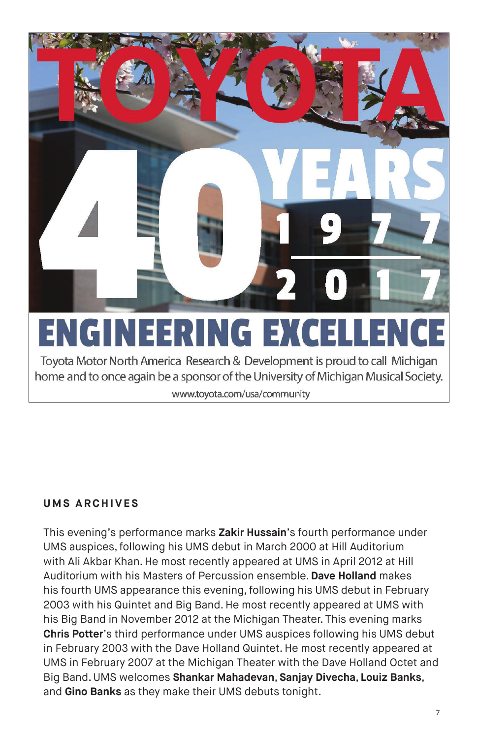

Toyota Motor North America Research & Development is proud to call Michigan home and to once again be a sponsor of the University of Michigan Musical Society.

www.toyota.com/usa/community

#### **UMS ARCHIVES**

This evening's performance marks **Zakir Hussain**'s fourth performance under UMS auspices, following his UMS debut in March 2000 at Hill Auditorium with Ali Akbar Khan. He most recently appeared at UMS in April 2012 at Hill Auditorium with his Masters of Percussion ensemble. **Dave Holland** makes his fourth UMS appearance this evening, following his UMS debut in February 2003 with his Quintet and Big Band. He most recently appeared at UMS with his Big Band in November 2012 at the Michigan Theater. This evening marks **Chris Potter**'s third performance under UMS auspices following his UMS debut in February 2003 with the Dave Holland Quintet. He most recently appeared at UMS in February 2007 at the Michigan Theater with the Dave Holland Octet and Big Band. UMS welcomes **Shankar Mahadevan**, **Sanjay Divecha**, **Louiz Banks**, and **Gino Banks** as they make their UMS debuts tonight.